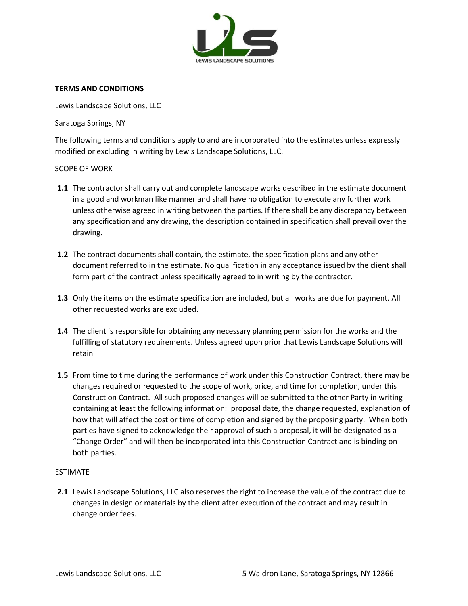

# **TERMS AND CONDITIONS**

Lewis Landscape Solutions, LLC

Saratoga Springs, NY

The following terms and conditions apply to and are incorporated into the estimates unless expressly modified or excluding in writing by Lewis Landscape Solutions, LLC.

# SCOPE OF WORK

- **1.1** The contractor shall carry out and complete landscape works described in the estimate document in a good and workman like manner and shall have no obligation to execute any further work unless otherwise agreed in writing between the parties. If there shall be any discrepancy between any specification and any drawing, the description contained in specification shall prevail over the drawing.
- **1.2** The contract documents shall contain, the estimate, the specification plans and any other document referred to in the estimate. No qualification in any acceptance issued by the client shall form part of the contract unless specifically agreed to in writing by the contractor.
- **1.3** Only the items on the estimate specification are included, but all works are due for payment. All other requested works are excluded.
- **1.4** The client is responsible for obtaining any necessary planning permission for the works and the fulfilling of statutory requirements. Unless agreed upon prior that Lewis Landscape Solutions will retain
- **1.5** From time to time during the performance of work under this Construction Contract, there may be changes required or requested to the scope of work, price, and time for completion, under this Construction Contract. All such proposed changes will be submitted to the other Party in writing containing at least the following information: proposal date, the change requested, explanation of how that will affect the cost or time of completion and signed by the proposing party. When both parties have signed to acknowledge their approval of such a proposal, it will be designated as a "Change Order" and will then be incorporated into this Construction Contract and is binding on both parties.

#### ESTIMATE

**2.1** Lewis Landscape Solutions, LLC also reserves the right to increase the value of the contract due to changes in design or materials by the client after execution of the contract and may result in change order fees.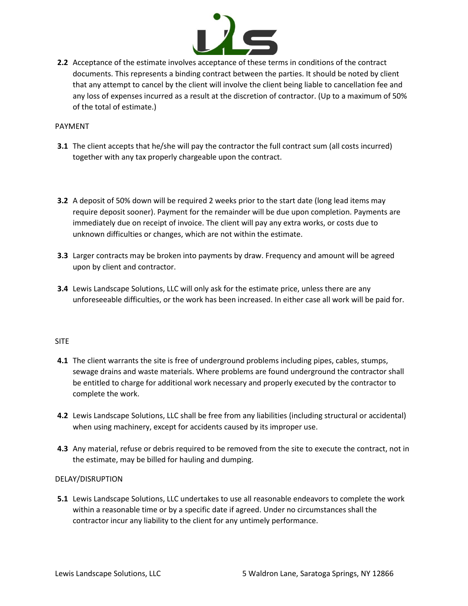

**2.2** Acceptance of the estimate involves acceptance of these terms in conditions of the contract documents. This represents a binding contract between the parties. It should be noted by client that any attempt to cancel by the client will involve the client being liable to cancellation fee and any loss of expenses incurred as a result at the discretion of contractor. (Up to a maximum of 50% of the total of estimate.)

### PAYMENT

- **3.1** The client accepts that he/she will pay the contractor the full contract sum (all costs incurred) together with any tax properly chargeable upon the contract.
- **3.2** A deposit of 50% down will be required 2 weeks prior to the start date (long lead items may require deposit sooner). Payment for the remainder will be due upon completion. Payments are immediately due on receipt of invoice. The client will pay any extra works, or costs due to unknown difficulties or changes, which are not within the estimate.
- **3.3** Larger contracts may be broken into payments by draw. Frequency and amount will be agreed upon by client and contractor.
- **3.4** Lewis Landscape Solutions, LLC will only ask for the estimate price, unless there are any unforeseeable difficulties, or the work has been increased. In either case all work will be paid for.

#### SITE

- **4.1** The client warrants the site is free of underground problems including pipes, cables, stumps, sewage drains and waste materials. Where problems are found underground the contractor shall be entitled to charge for additional work necessary and properly executed by the contractor to complete the work.
- **4.2** Lewis Landscape Solutions, LLC shall be free from any liabilities (including structural or accidental) when using machinery, except for accidents caused by its improper use.
- **4.3** Any material, refuse or debris required to be removed from the site to execute the contract, not in the estimate, may be billed for hauling and dumping.

# DELAY/DISRUPTION

**5.1** Lewis Landscape Solutions, LLC undertakes to use all reasonable endeavors to complete the work within a reasonable time or by a specific date if agreed. Under no circumstances shall the contractor incur any liability to the client for any untimely performance.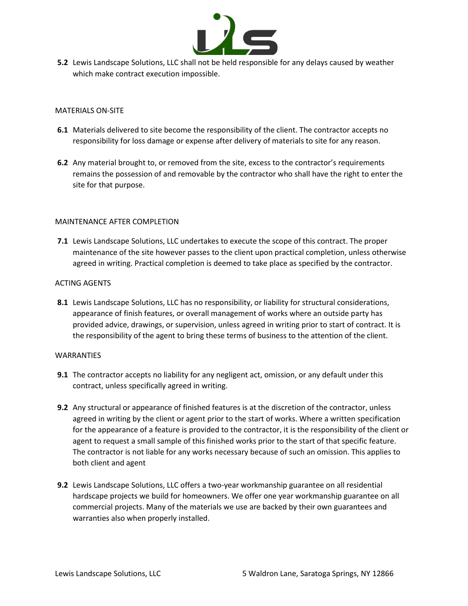

**5.2** Lewis Landscape Solutions, LLC shall not be held responsible for any delays caused by weather which make contract execution impossible.

#### MATERIALS ON-SITE

- **6.1** Materials delivered to site become the responsibility of the client. The contractor accepts no responsibility for loss damage or expense after delivery of materials to site for any reason.
- **6.2** Any material brought to, or removed from the site, excess to the contractor's requirements remains the possession of and removable by the contractor who shall have the right to enter the site for that purpose.

# MAINTENANCE AFTER COMPLETION

**7.1** Lewis Landscape Solutions, LLC undertakes to execute the scope of this contract. The proper maintenance of the site however passes to the client upon practical completion, unless otherwise agreed in writing. Practical completion is deemed to take place as specified by the contractor.

# ACTING AGENTS

**8.1** Lewis Landscape Solutions, LLC has no responsibility, or liability for structural considerations, appearance of finish features, or overall management of works where an outside party has provided advice, drawings, or supervision, unless agreed in writing prior to start of contract. It is the responsibility of the agent to bring these terms of business to the attention of the client.

#### WARRANTIES

- **9.1** The contractor accepts no liability for any negligent act, omission, or any default under this contract, unless specifically agreed in writing.
- **9.2** Any structural or appearance of finished features is at the discretion of the contractor, unless agreed in writing by the client or agent prior to the start of works. Where a written specification for the appearance of a feature is provided to the contractor, it is the responsibility of the client or agent to request a small sample of this finished works prior to the start of that specific feature. The contractor is not liable for any works necessary because of such an omission. This applies to both client and agent
- **9.2** Lewis Landscape Solutions, LLC offers a two-year workmanship guarantee on all residential hardscape projects we build for homeowners. We offer one year workmanship guarantee on all commercial projects. Many of the materials we use are backed by their own guarantees and warranties also when properly installed.